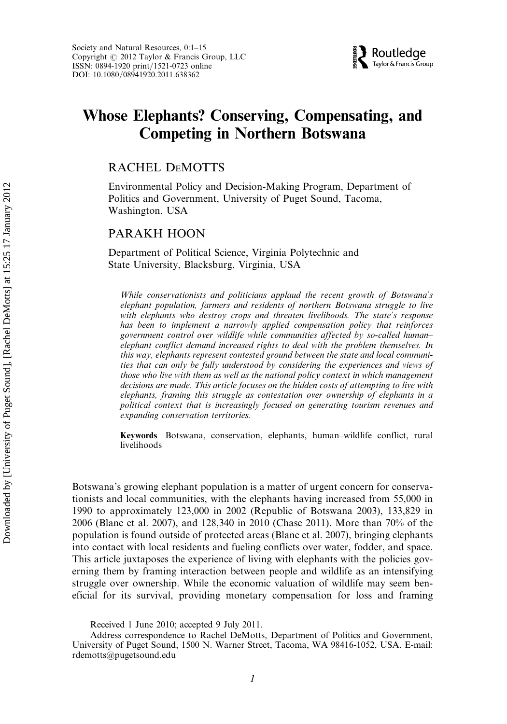

# Whose Elephants? Conserving, Compensating, and Competing in Northern Botswana

## RACHEL DEMOTTS

Environmental Policy and Decision-Making Program, Department of Politics and Government, University of Puget Sound, Tacoma, Washington, USA

### PARAKH HOON

Department of Political Science, Virginia Polytechnic and State University, Blacksburg, Virginia, USA

While conservationists and politicians applaud the recent growth of Botswana's elephant population, farmers and residents of northern Botswana struggle to live with elephants who destroy crops and threaten livelihoods. The state's response has been to implement a narrowly applied compensation policy that reinforces government control over wildlife while communities affected by so-called human– elephant conflict demand increased rights to deal with the problem themselves. In this way, elephants represent contested ground between the state and local communities that can only be fully understood by considering the experiences and views of those who live with them as well as the national policy context in which management decisions are made. This article focuses on the hidden costs of attempting to live with elephants, framing this struggle as contestation over ownership of elephants in a political context that is increasingly focused on generating tourism revenues and expanding conservation territories.

Keywords Botswana, conservation, elephants, human–wildlife conflict, rural livelihoods

Botswana's growing elephant population is a matter of urgent concern for conservationists and local communities, with the elephants having increased from 55,000 in 1990 to approximately 123,000 in 2002 (Republic of Botswana 2003), 133,829 in 2006 (Blanc et al. 2007), and 128,340 in 2010 (Chase 2011). More than 70% of the population is found outside of protected areas (Blanc et al. 2007), bringing elephants into contact with local residents and fueling conflicts over water, fodder, and space. This article juxtaposes the experience of living with elephants with the policies governing them by framing interaction between people and wildlife as an intensifying struggle over ownership. While the economic valuation of wildlife may seem beneficial for its survival, providing monetary compensation for loss and framing

Received 1 June 2010; accepted 9 July 2011.

Address correspondence to Rachel DeMotts, Department of Politics and Government, University of Puget Sound, 1500 N. Warner Street, Tacoma, WA 98416-1052, USA. E-mail: rdemotts@pugetsound.edu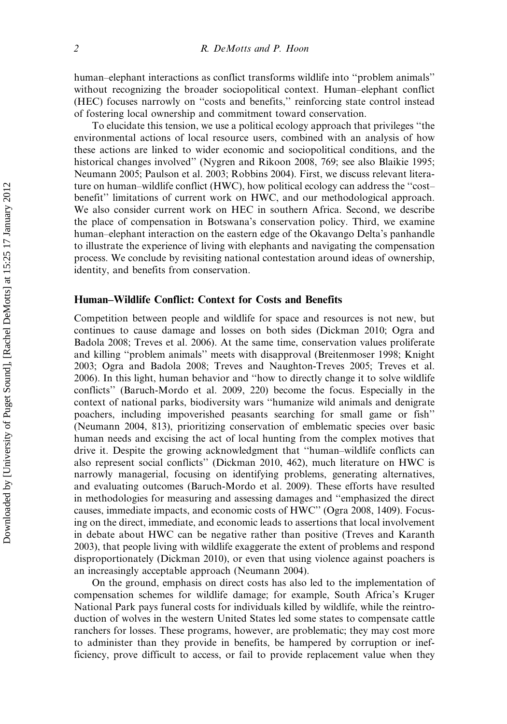human–elephant interactions as conflict transforms wildlife into ''problem animals'' without recognizing the broader sociopolitical context. Human–elephant conflict (HEC) focuses narrowly on ''costs and benefits,'' reinforcing state control instead of fostering local ownership and commitment toward conservation.

To elucidate this tension, we use a political ecology approach that privileges ''the environmental actions of local resource users, combined with an analysis of how these actions are linked to wider economic and sociopolitical conditions, and the historical changes involved'' (Nygren and Rikoon 2008, 769; see also Blaikie 1995; Neumann 2005; Paulson et al. 2003; Robbins 2004). First, we discuss relevant literature on human–wildlife conflict (HWC), how political ecology can address the ''cost– benefit'' limitations of current work on HWC, and our methodological approach. We also consider current work on HEC in southern Africa. Second, we describe the place of compensation in Botswana's conservation policy. Third, we examine human–elephant interaction on the eastern edge of the Okavango Delta's panhandle to illustrate the experience of living with elephants and navigating the compensation process. We conclude by revisiting national contestation around ideas of ownership, identity, and benefits from conservation.

#### Human–Wildlife Conflict: Context for Costs and Benefits

Competition between people and wildlife for space and resources is not new, but continues to cause damage and losses on both sides (Dickman 2010; Ogra and Badola 2008; Treves et al. 2006). At the same time, conservation values proliferate and killing ''problem animals'' meets with disapproval (Breitenmoser 1998; Knight 2003; Ogra and Badola 2008; Treves and Naughton-Treves 2005; Treves et al. 2006). In this light, human behavior and ''how to directly change it to solve wildlife conflicts'' (Baruch-Mordo et al. 2009, 220) become the focus. Especially in the context of national parks, biodiversity wars ''humanize wild animals and denigrate poachers, including impoverished peasants searching for small game or fish'' (Neumann 2004, 813), prioritizing conservation of emblematic species over basic human needs and excising the act of local hunting from the complex motives that drive it. Despite the growing acknowledgment that ''human–wildlife conflicts can also represent social conflicts'' (Dickman 2010, 462), much literature on HWC is narrowly managerial, focusing on identifying problems, generating alternatives, and evaluating outcomes (Baruch-Mordo et al. 2009). These efforts have resulted in methodologies for measuring and assessing damages and ''emphasized the direct causes, immediate impacts, and economic costs of HWC'' (Ogra 2008, 1409). Focusing on the direct, immediate, and economic leads to assertions that local involvement in debate about HWC can be negative rather than positive (Treves and Karanth 2003), that people living with wildlife exaggerate the extent of problems and respond disproportionately (Dickman 2010), or even that using violence against poachers is an increasingly acceptable approach (Neumann 2004).

On the ground, emphasis on direct costs has also led to the implementation of compensation schemes for wildlife damage; for example, South Africa's Kruger National Park pays funeral costs for individuals killed by wildlife, while the reintroduction of wolves in the western United States led some states to compensate cattle ranchers for losses. These programs, however, are problematic; they may cost more to administer than they provide in benefits, be hampered by corruption or inefficiency, prove difficult to access, or fail to provide replacement value when they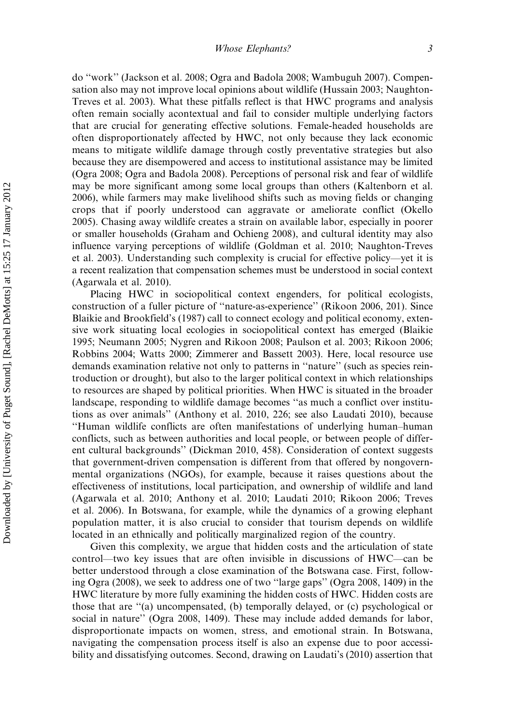do ''work'' (Jackson et al. 2008; Ogra and Badola 2008; Wambuguh 2007). Compensation also may not improve local opinions about wildlife (Hussain 2003; Naughton-Treves et al. 2003). What these pitfalls reflect is that HWC programs and analysis often remain socially acontextual and fail to consider multiple underlying factors that are crucial for generating effective solutions. Female-headed households are often disproportionately affected by HWC, not only because they lack economic means to mitigate wildlife damage through costly preventative strategies but also because they are disempowered and access to institutional assistance may be limited (Ogra 2008; Ogra and Badola 2008). Perceptions of personal risk and fear of wildlife may be more significant among some local groups than others (Kaltenborn et al. 2006), while farmers may make livelihood shifts such as moving fields or changing crops that if poorly understood can aggravate or ameliorate conflict (Okello 2005). Chasing away wildlife creates a strain on available labor, especially in poorer or smaller households (Graham and Ochieng 2008), and cultural identity may also influence varying perceptions of wildlife (Goldman et al. 2010; Naughton-Treves et al. 2003). Understanding such complexity is crucial for effective policy—yet it is a recent realization that compensation schemes must be understood in social context (Agarwala et al. 2010).

Placing HWC in sociopolitical context engenders, for political ecologists, construction of a fuller picture of ''nature-as-experience'' (Rikoon 2006, 201). Since Blaikie and Brookfield's (1987) call to connect ecology and political economy, extensive work situating local ecologies in sociopolitical context has emerged (Blaikie 1995; Neumann 2005; Nygren and Rikoon 2008; Paulson et al. 2003; Rikoon 2006; Robbins 2004; Watts 2000; Zimmerer and Bassett 2003). Here, local resource use demands examination relative not only to patterns in ''nature'' (such as species reintroduction or drought), but also to the larger political context in which relationships to resources are shaped by political priorities. When HWC is situated in the broader landscape, responding to wildlife damage becomes ''as much a conflict over institutions as over animals'' (Anthony et al. 2010, 226; see also Laudati 2010), because ''Human wildlife conflicts are often manifestations of underlying human–human conflicts, such as between authorities and local people, or between people of different cultural backgrounds'' (Dickman 2010, 458). Consideration of context suggests that government-driven compensation is different from that offered by nongovernmental organizations (NGOs), for example, because it raises questions about the effectiveness of institutions, local participation, and ownership of wildlife and land (Agarwala et al. 2010; Anthony et al. 2010; Laudati 2010; Rikoon 2006; Treves et al. 2006). In Botswana, for example, while the dynamics of a growing elephant population matter, it is also crucial to consider that tourism depends on wildlife located in an ethnically and politically marginalized region of the country.

Given this complexity, we argue that hidden costs and the articulation of state control—two key issues that are often invisible in discussions of HWC—can be better understood through a close examination of the Botswana case. First, following Ogra (2008), we seek to address one of two ''large gaps'' (Ogra 2008, 1409) in the HWC literature by more fully examining the hidden costs of HWC. Hidden costs are those that are ''(a) uncompensated, (b) temporally delayed, or (c) psychological or social in nature'' (Ogra 2008, 1409). These may include added demands for labor, disproportionate impacts on women, stress, and emotional strain. In Botswana, navigating the compensation process itself is also an expense due to poor accessibility and dissatisfying outcomes. Second, drawing on Laudati's (2010) assertion that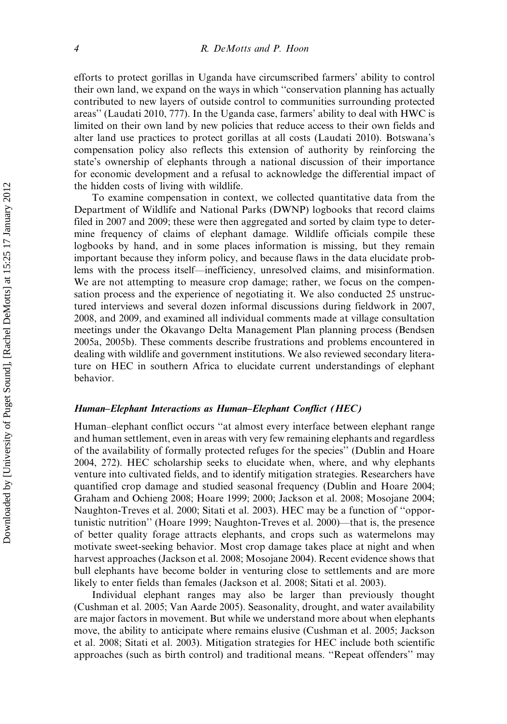efforts to protect gorillas in Uganda have circumscribed farmers' ability to control their own land, we expand on the ways in which ''conservation planning has actually contributed to new layers of outside control to communities surrounding protected areas'' (Laudati 2010, 777). In the Uganda case, farmers' ability to deal with HWC is limited on their own land by new policies that reduce access to their own fields and alter land use practices to protect gorillas at all costs (Laudati 2010). Botswana's compensation policy also reflects this extension of authority by reinforcing the state's ownership of elephants through a national discussion of their importance for economic development and a refusal to acknowledge the differential impact of the hidden costs of living with wildlife.

To examine compensation in context, we collected quantitative data from the Department of Wildlife and National Parks (DWNP) logbooks that record claims filed in 2007 and 2009; these were then aggregated and sorted by claim type to determine frequency of claims of elephant damage. Wildlife officials compile these logbooks by hand, and in some places information is missing, but they remain important because they inform policy, and because flaws in the data elucidate problems with the process itself—inefficiency, unresolved claims, and misinformation. We are not attempting to measure crop damage; rather, we focus on the compensation process and the experience of negotiating it. We also conducted 25 unstructured interviews and several dozen informal discussions during fieldwork in 2007, 2008, and 2009, and examined all individual comments made at village consultation meetings under the Okavango Delta Management Plan planning process (Bendsen 2005a, 2005b). These comments describe frustrations and problems encountered in dealing with wildlife and government institutions. We also reviewed secondary literature on HEC in southern Africa to elucidate current understandings of elephant behavior.

#### Human–Elephant Interactions as Human–Elephant Conflict (HEC)

Human–elephant conflict occurs ''at almost every interface between elephant range and human settlement, even in areas with very few remaining elephants and regardless of the availability of formally protected refuges for the species'' (Dublin and Hoare 2004, 272). HEC scholarship seeks to elucidate when, where, and why elephants venture into cultivated fields, and to identify mitigation strategies. Researchers have quantified crop damage and studied seasonal frequency (Dublin and Hoare 2004; Graham and Ochieng 2008; Hoare 1999; 2000; Jackson et al. 2008; Mosojane 2004; Naughton-Treves et al. 2000; Sitati et al. 2003). HEC may be a function of ''opportunistic nutrition'' (Hoare 1999; Naughton-Treves et al. 2000)—that is, the presence of better quality forage attracts elephants, and crops such as watermelons may motivate sweet-seeking behavior. Most crop damage takes place at night and when harvest approaches (Jackson et al. 2008; Mosojane 2004). Recent evidence shows that bull elephants have become bolder in venturing close to settlements and are more likely to enter fields than females (Jackson et al. 2008; Sitati et al. 2003).

Individual elephant ranges may also be larger than previously thought (Cushman et al. 2005; Van Aarde 2005). Seasonality, drought, and water availability are major factors in movement. But while we understand more about when elephants move, the ability to anticipate where remains elusive (Cushman et al. 2005; Jackson et al. 2008; Sitati et al. 2003). Mitigation strategies for HEC include both scientific approaches (such as birth control) and traditional means. ''Repeat offenders'' may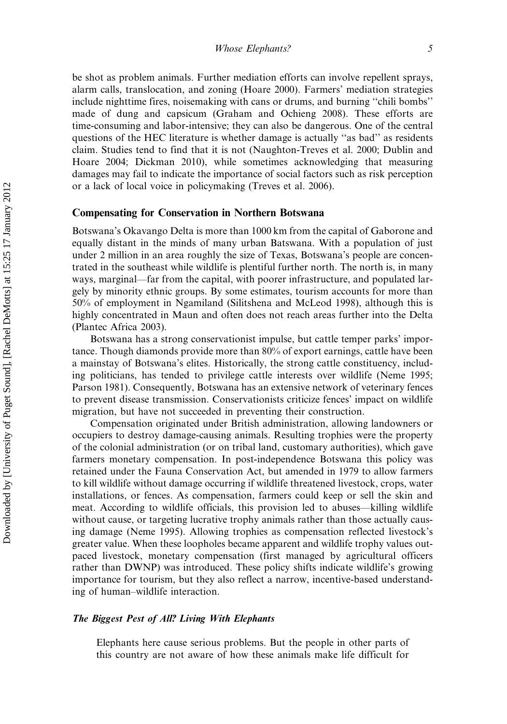be shot as problem animals. Further mediation efforts can involve repellent sprays, alarm calls, translocation, and zoning (Hoare 2000). Farmers' mediation strategies include nighttime fires, noisemaking with cans or drums, and burning ''chili bombs'' made of dung and capsicum (Graham and Ochieng 2008). These efforts are time-consuming and labor-intensive; they can also be dangerous. One of the central questions of the HEC literature is whether damage is actually ''as bad'' as residents claim. Studies tend to find that it is not (Naughton-Treves et al. 2000; Dublin and Hoare 2004; Dickman 2010), while sometimes acknowledging that measuring damages may fail to indicate the importance of social factors such as risk perception or a lack of local voice in policymaking (Treves et al. 2006).

#### Compensating for Conservation in Northern Botswana

Botswana's Okavango Delta is more than 1000 km from the capital of Gaborone and equally distant in the minds of many urban Batswana. With a population of just under 2 million in an area roughly the size of Texas, Botswana's people are concentrated in the southeast while wildlife is plentiful further north. The north is, in many ways, marginal—far from the capital, with poorer infrastructure, and populated largely by minority ethnic groups. By some estimates, tourism accounts for more than 50% of employment in Ngamiland (Silitshena and McLeod 1998), although this is highly concentrated in Maun and often does not reach areas further into the Delta (Plantec Africa 2003).

Botswana has a strong conservationist impulse, but cattle temper parks' importance. Though diamonds provide more than 80% of export earnings, cattle have been a mainstay of Botswana's elites. Historically, the strong cattle constituency, including politicians, has tended to privilege cattle interests over wildlife (Neme 1995; Parson 1981). Consequently, Botswana has an extensive network of veterinary fences to prevent disease transmission. Conservationists criticize fences' impact on wildlife migration, but have not succeeded in preventing their construction.

Compensation originated under British administration, allowing landowners or occupiers to destroy damage-causing animals. Resulting trophies were the property of the colonial administration (or on tribal land, customary authorities), which gave farmers monetary compensation. In post-independence Botswana this policy was retained under the Fauna Conservation Act, but amended in 1979 to allow farmers to kill wildlife without damage occurring if wildlife threatened livestock, crops, water installations, or fences. As compensation, farmers could keep or sell the skin and meat. According to wildlife officials, this provision led to abuses—killing wildlife without cause, or targeting lucrative trophy animals rather than those actually causing damage (Neme 1995). Allowing trophies as compensation reflected livestock's greater value. When these loopholes became apparent and wildlife trophy values outpaced livestock, monetary compensation (first managed by agricultural officers rather than DWNP) was introduced. These policy shifts indicate wildlife's growing importance for tourism, but they also reflect a narrow, incentive-based understanding of human–wildlife interaction.

#### The Biggest Pest of All? Living With Elephants

Elephants here cause serious problems. But the people in other parts of this country are not aware of how these animals make life difficult for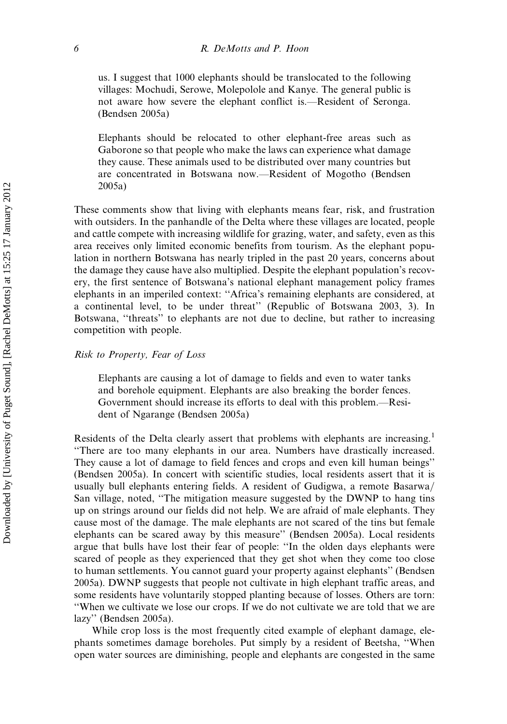us. I suggest that 1000 elephants should be translocated to the following villages: Mochudi, Serowe, Molepolole and Kanye. The general public is not aware how severe the elephant conflict is.—Resident of Seronga. (Bendsen 2005a)

Elephants should be relocated to other elephant-free areas such as Gaborone so that people who make the laws can experience what damage they cause. These animals used to be distributed over many countries but are concentrated in Botswana now.—Resident of Mogotho (Bendsen 2005a)

These comments show that living with elephants means fear, risk, and frustration with outsiders. In the panhandle of the Delta where these villages are located, people and cattle compete with increasing wildlife for grazing, water, and safety, even as this area receives only limited economic benefits from tourism. As the elephant population in northern Botswana has nearly tripled in the past 20 years, concerns about the damage they cause have also multiplied. Despite the elephant population's recovery, the first sentence of Botswana's national elephant management policy frames elephants in an imperiled context: ''Africa's remaining elephants are considered, at a continental level, to be under threat'' (Republic of Botswana 2003, 3). In Botswana, ''threats'' to elephants are not due to decline, but rather to increasing competition with people.

#### Risk to Property, Fear of Loss

Elephants are causing a lot of damage to fields and even to water tanks and borehole equipment. Elephants are also breaking the border fences. Government should increase its efforts to deal with this problem.—Resident of Ngarange (Bendsen 2005a)

Residents of the Delta clearly assert that problems with elephants are increasing.<sup>1</sup> ''There are too many elephants in our area. Numbers have drastically increased. They cause a lot of damage to field fences and crops and even kill human beings'' (Bendsen 2005a). In concert with scientific studies, local residents assert that it is usually bull elephants entering fields. A resident of Gudigwa, a remote Basarwa/ San village, noted, ''The mitigation measure suggested by the DWNP to hang tins up on strings around our fields did not help. We are afraid of male elephants. They cause most of the damage. The male elephants are not scared of the tins but female elephants can be scared away by this measure'' (Bendsen 2005a). Local residents argue that bulls have lost their fear of people: ''In the olden days elephants were scared of people as they experienced that they get shot when they come too close to human settlements. You cannot guard your property against elephants'' (Bendsen 2005a). DWNP suggests that people not cultivate in high elephant traffic areas, and some residents have voluntarily stopped planting because of losses. Others are torn: ''When we cultivate we lose our crops. If we do not cultivate we are told that we are lazy'' (Bendsen 2005a).

While crop loss is the most frequently cited example of elephant damage, elephants sometimes damage boreholes. Put simply by a resident of Beetsha, ''When open water sources are diminishing, people and elephants are congested in the same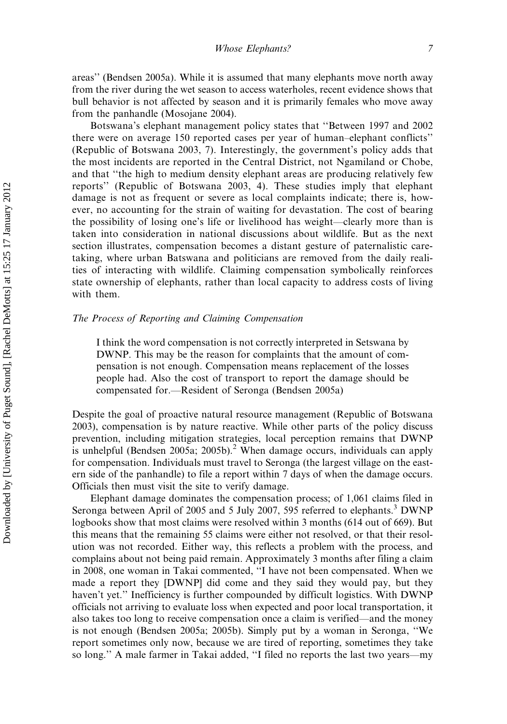areas'' (Bendsen 2005a). While it is assumed that many elephants move north away from the river during the wet season to access waterholes, recent evidence shows that bull behavior is not affected by season and it is primarily females who move away from the panhandle (Mosojane 2004).

Botswana's elephant management policy states that ''Between 1997 and 2002 there were on average 150 reported cases per year of human–elephant conflicts'' (Republic of Botswana 2003, 7). Interestingly, the government's policy adds that the most incidents are reported in the Central District, not Ngamiland or Chobe, and that ''the high to medium density elephant areas are producing relatively few reports'' (Republic of Botswana 2003, 4). These studies imply that elephant damage is not as frequent or severe as local complaints indicate; there is, however, no accounting for the strain of waiting for devastation. The cost of bearing the possibility of losing one's life or livelihood has weight—clearly more than is taken into consideration in national discussions about wildlife. But as the next section illustrates, compensation becomes a distant gesture of paternalistic caretaking, where urban Batswana and politicians are removed from the daily realities of interacting with wildlife. Claiming compensation symbolically reinforces state ownership of elephants, rather than local capacity to address costs of living with them.

#### The Process of Reporting and Claiming Compensation

I think the word compensation is not correctly interpreted in Setswana by DWNP. This may be the reason for complaints that the amount of compensation is not enough. Compensation means replacement of the losses people had. Also the cost of transport to report the damage should be compensated for.—Resident of Seronga (Bendsen 2005a)

Despite the goal of proactive natural resource management (Republic of Botswana 2003), compensation is by nature reactive. While other parts of the policy discuss prevention, including mitigation strategies, local perception remains that DWNP is unhelpful (Bendsen 2005a; 2005b).<sup>2</sup> When damage occurs, individuals can apply for compensation. Individuals must travel to Seronga (the largest village on the eastern side of the panhandle) to file a report within 7 days of when the damage occurs. Officials then must visit the site to verify damage.

Elephant damage dominates the compensation process; of 1,061 claims filed in Seronga between April of 2005 and 5 July 2007, 595 referred to elephants.<sup>3</sup> DWNP logbooks show that most claims were resolved within 3 months (614 out of 669). But this means that the remaining 55 claims were either not resolved, or that their resolution was not recorded. Either way, this reflects a problem with the process, and complains about not being paid remain. Approximately 3 months after filing a claim in 2008, one woman in Takai commented, ''I have not been compensated. When we made a report they [DWNP] did come and they said they would pay, but they haven't yet.'' Inefficiency is further compounded by difficult logistics. With DWNP officials not arriving to evaluate loss when expected and poor local transportation, it also takes too long to receive compensation once a claim is verified—and the money is not enough (Bendsen 2005a; 2005b). Simply put by a woman in Seronga, ''We report sometimes only now, because we are tired of reporting, sometimes they take so long.'' A male farmer in Takai added, ''I filed no reports the last two years—my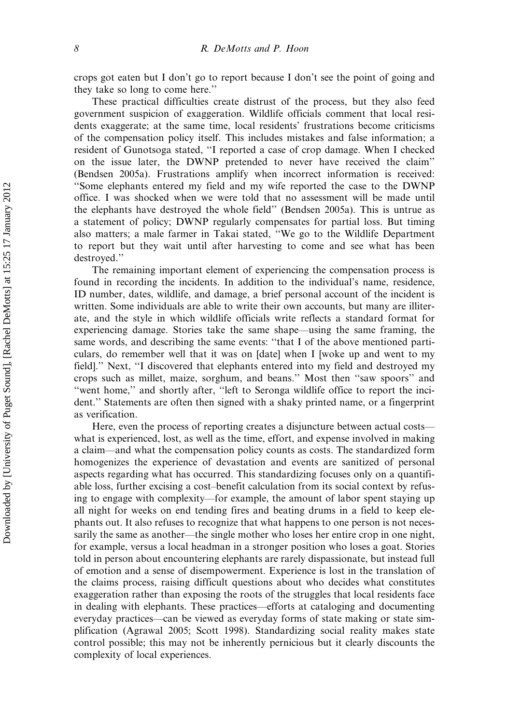crops got eaten but I don't go to report because I don't see the point of going and they take so long to come here.''

These practical difficulties create distrust of the process, but they also feed government suspicion of exaggeration. Wildlife officials comment that local residents exaggerate; at the same time, local residents' frustrations become criticisms of the compensation policy itself. This includes mistakes and false information; a resident of Gunotsoga stated, ''I reported a case of crop damage. When I checked on the issue later, the DWNP pretended to never have received the claim'' (Bendsen 2005a). Frustrations amplify when incorrect information is received: ''Some elephants entered my field and my wife reported the case to the DWNP office. I was shocked when we were told that no assessment will be made until the elephants have destroyed the whole field'' (Bendsen 2005a). This is untrue as a statement of policy; DWNP regularly compensates for partial loss. But timing also matters; a male farmer in Takai stated, ''We go to the Wildlife Department to report but they wait until after harvesting to come and see what has been destroyed.''

The remaining important element of experiencing the compensation process is found in recording the incidents. In addition to the individual's name, residence, ID number, dates, wildlife, and damage, a brief personal account of the incident is written. Some individuals are able to write their own accounts, but many are illiterate, and the style in which wildlife officials write reflects a standard format for experiencing damage. Stories take the same shape—using the same framing, the same words, and describing the same events: ''that I of the above mentioned particulars, do remember well that it was on [date] when I [woke up and went to my field].'' Next, ''I discovered that elephants entered into my field and destroyed my crops such as millet, maize, sorghum, and beans.'' Most then ''saw spoors'' and "went home," and shortly after, "left to Seronga wildlife office to report the incident.'' Statements are often then signed with a shaky printed name, or a fingerprint as verification.

Here, even the process of reporting creates a disjuncture between actual costs what is experienced, lost, as well as the time, effort, and expense involved in making a claim—and what the compensation policy counts as costs. The standardized form homogenizes the experience of devastation and events are sanitized of personal aspects regarding what has occurred. This standardizing focuses only on a quantifiable loss, further excising a cost–benefit calculation from its social context by refusing to engage with complexity—for example, the amount of labor spent staying up all night for weeks on end tending fires and beating drums in a field to keep elephants out. It also refuses to recognize that what happens to one person is not necessarily the same as another—the single mother who loses her entire crop in one night, for example, versus a local headman in a stronger position who loses a goat. Stories told in person about encountering elephants are rarely dispassionate, but instead full of emotion and a sense of disempowerment. Experience is lost in the translation of the claims process, raising difficult questions about who decides what constitutes exaggeration rather than exposing the roots of the struggles that local residents face in dealing with elephants. These practices—efforts at cataloging and documenting everyday practices—can be viewed as everyday forms of state making or state simplification (Agrawal 2005; Scott 1998). Standardizing social reality makes state control possible; this may not be inherently pernicious but it clearly discounts the complexity of local experiences.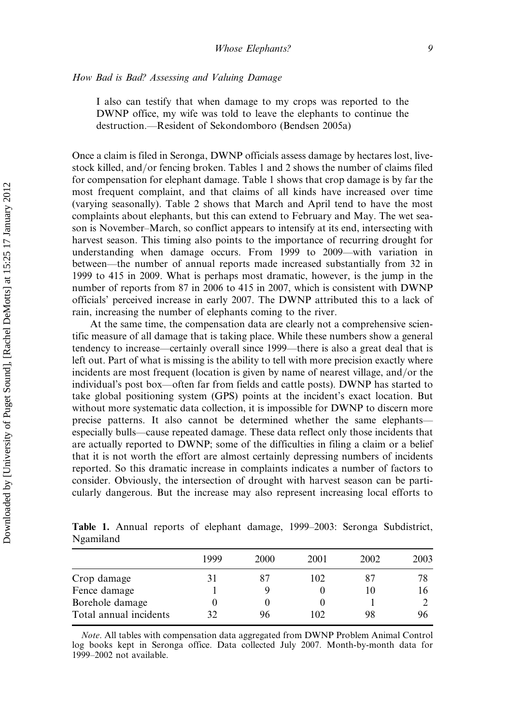#### How Bad is Bad? Assessing and Valuing Damage

I also can testify that when damage to my crops was reported to the DWNP office, my wife was told to leave the elephants to continue the destruction.—Resident of Sekondomboro (Bendsen 2005a)

Once a claim is filed in Seronga, DWNP officials assess damage by hectares lost, livestock killed, and/or fencing broken. Tables 1 and 2 shows the number of claims filed for compensation for elephant damage. Table 1 shows that crop damage is by far the most frequent complaint, and that claims of all kinds have increased over time (varying seasonally). Table 2 shows that March and April tend to have the most complaints about elephants, but this can extend to February and May. The wet season is November–March, so conflict appears to intensify at its end, intersecting with harvest season. This timing also points to the importance of recurring drought for understanding when damage occurs. From 1999 to 2009—with variation in between—the number of annual reports made increased substantially from 32 in 1999 to 415 in 2009. What is perhaps most dramatic, however, is the jump in the number of reports from 87 in 2006 to 415 in 2007, which is consistent with DWNP officials' perceived increase in early 2007. The DWNP attributed this to a lack of rain, increasing the number of elephants coming to the river.

At the same time, the compensation data are clearly not a comprehensive scientific measure of all damage that is taking place. While these numbers show a general tendency to increase—certainly overall since 1999—there is also a great deal that is left out. Part of what is missing is the ability to tell with more precision exactly where incidents are most frequent (location is given by name of nearest village, and/or the individual's post box—often far from fields and cattle posts). DWNP has started to take global positioning system (GPS) points at the incident's exact location. But without more systematic data collection, it is impossible for DWNP to discern more precise patterns. It also cannot be determined whether the same elephants especially bulls—cause repeated damage. These data reflect only those incidents that are actually reported to DWNP; some of the difficulties in filing a claim or a belief that it is not worth the effort are almost certainly depressing numbers of incidents reported. So this dramatic increase in complaints indicates a number of factors to consider. Obviously, the intersection of drought with harvest season can be particularly dangerous. But the increase may also represent increasing local efforts to

|                        | 1999 | 2000 | 2001 | 2002 | 2003 |
|------------------------|------|------|------|------|------|
| Crop damage            |      | 87   | 102  | 87   | 78   |
| Fence damage           |      |      |      | I () | 16   |
| Borehole damage        |      |      |      |      |      |
| Total annual incidents | 32   | 96   | 102  | 98   | 96   |
|                        |      |      |      |      |      |

Table 1. Annual reports of elephant damage, 1999–2003: Seronga Subdistrict, Ngamiland

Note. All tables with compensation data aggregated from DWNP Problem Animal Control log books kept in Seronga office. Data collected July 2007. Month-by-month data for 1999–2002 not available.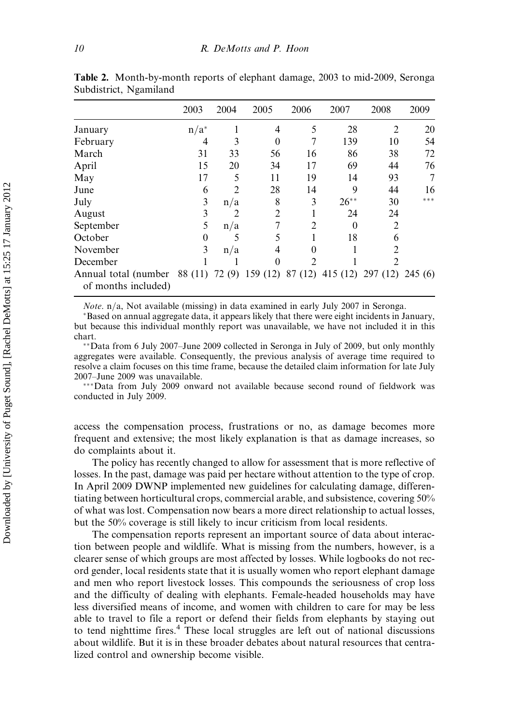|                                             | 2003           | 2004           | 2005           | 2006           | 2007                  | 2008           | 2009   |
|---------------------------------------------|----------------|----------------|----------------|----------------|-----------------------|----------------|--------|
| January                                     | $n/a^*$        |                | 4              |                | 28                    | $\mathfrak{D}$ | 20     |
| February                                    | 4              | 3              | $\theta$       |                | 139                   | 10             | 54     |
| March                                       | 31             | 33             | 56             | 16             | 86                    | 38             | 72     |
| April                                       | 15             | 20             | 34             | 17             | 69                    | 44             | 76     |
| May                                         | 17             | 5              | 11             | 19             | 14                    | 93             | $\tau$ |
| June                                        | 6              | $\overline{2}$ | 28             | 14             | 9                     | 44             | 16     |
| July                                        | 3              | n/a            | 8              | 3              | $26***$               | 30             | $***$  |
| August                                      | 3              |                | $\overline{2}$ |                | 24                    | 24             |        |
| September                                   | 5              | n/a            | 7              | $\mathfrak{D}$ | $\theta$              | $\overline{2}$ |        |
| October                                     | 0              |                | 5              |                | 18                    | 6              |        |
| November                                    | 3              | n/a            | 4              | 0              |                       | $\overline{2}$ |        |
| December                                    |                |                |                |                |                       | $\mathcal{D}$  |        |
| Annual total (number<br>of months included) | 88 (11) 72 (9) |                | 159(12)87(12)  |                | 415 $(12)$ 297 $(12)$ |                | 245(6) |

Table 2. Month-by-month reports of elephant damage, 2003 to mid-2009, Seronga Subdistrict, Ngamiland

*Note.*  $n/a$ , Not available (missing) in data examined in early July 2007 in Seronga.  $n$ <sup>\*</sup> Based on annual aggregate data, it appears likely that there were eight incidents in January,

but because this individual monthly report was unavailable, we have not included it in this chart.<br>\*\*Data from 6 July 2007–June 2009 collected in Seronga in July of 2009, but only monthly

aggregates were available. Consequently, the previous analysis of average time required to resolve a claim focuses on this time frame, because the detailed claim information for late July 2007–June 2009 was unavailable.<br>
<sup>\*\*\*</sup>Data from July 2009 onward not available because second round of fieldwork was

conducted in July 2009.

access the compensation process, frustrations or no, as damage becomes more frequent and extensive; the most likely explanation is that as damage increases, so do complaints about it.

The policy has recently changed to allow for assessment that is more reflective of losses. In the past, damage was paid per hectare without attention to the type of crop. In April 2009 DWNP implemented new guidelines for calculating damage, differentiating between horticultural crops, commercial arable, and subsistence, covering 50% of what was lost. Compensation now bears a more direct relationship to actual losses, but the 50% coverage is still likely to incur criticism from local residents.

The compensation reports represent an important source of data about interaction between people and wildlife. What is missing from the numbers, however, is a clearer sense of which groups are most affected by losses. While logbooks do not record gender, local residents state that it is usually women who report elephant damage and men who report livestock losses. This compounds the seriousness of crop loss and the difficulty of dealing with elephants. Female-headed households may have less diversified means of income, and women with children to care for may be less able to travel to file a report or defend their fields from elephants by staying out to tend nighttime fires.<sup>4</sup> These local struggles are left out of national discussions about wildlife. But it is in these broader debates about natural resources that centralized control and ownership become visible.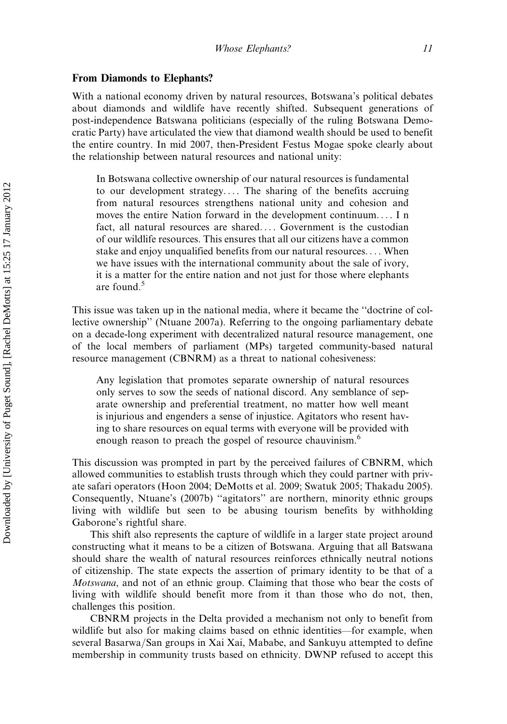#### From Diamonds to Elephants?

With a national economy driven by natural resources, Botswana's political debates about diamonds and wildlife have recently shifted. Subsequent generations of post-independence Batswana politicians (especially of the ruling Botswana Democratic Party) have articulated the view that diamond wealth should be used to benefit the entire country. In mid 2007, then-President Festus Mogae spoke clearly about the relationship between natural resources and national unity:

In Botswana collective ownership of our natural resources is fundamental to our development strategy... . The sharing of the benefits accruing from natural resources strengthens national unity and cohesion and moves the entire Nation forward in the development continuum.... In fact, all natural resources are shared... . Government is the custodian of our wildlife resources. This ensures that all our citizens have a common stake and enjoy unqualified benefits from our natural resources... . When we have issues with the international community about the sale of ivory, it is a matter for the entire nation and not just for those where elephants are found.<sup>5</sup>

This issue was taken up in the national media, where it became the ''doctrine of collective ownership'' (Ntuane 2007a). Referring to the ongoing parliamentary debate on a decade-long experiment with decentralized natural resource management, one of the local members of parliament (MPs) targeted community-based natural resource management (CBNRM) as a threat to national cohesiveness:

Any legislation that promotes separate ownership of natural resources only serves to sow the seeds of national discord. Any semblance of separate ownership and preferential treatment, no matter how well meant is injurious and engenders a sense of injustice. Agitators who resent having to share resources on equal terms with everyone will be provided with enough reason to preach the gospel of resource chauvinism.<sup>6</sup>

This discussion was prompted in part by the perceived failures of CBNRM, which allowed communities to establish trusts through which they could partner with private safari operators (Hoon 2004; DeMotts et al. 2009; Swatuk 2005; Thakadu 2005). Consequently, Ntuane's (2007b) ''agitators'' are northern, minority ethnic groups living with wildlife but seen to be abusing tourism benefits by withholding Gaborone's rightful share.

This shift also represents the capture of wildlife in a larger state project around constructing what it means to be a citizen of Botswana. Arguing that all Batswana should share the wealth of natural resources reinforces ethnically neutral notions of citizenship. The state expects the assertion of primary identity to be that of a Motswana, and not of an ethnic group. Claiming that those who bear the costs of living with wildlife should benefit more from it than those who do not, then, challenges this position.

CBNRM projects in the Delta provided a mechanism not only to benefit from wildlife but also for making claims based on ethnic identities—for example, when several Basarwa/San groups in Xai Xai, Mababe, and Sankuyu attempted to define membership in community trusts based on ethnicity. DWNP refused to accept this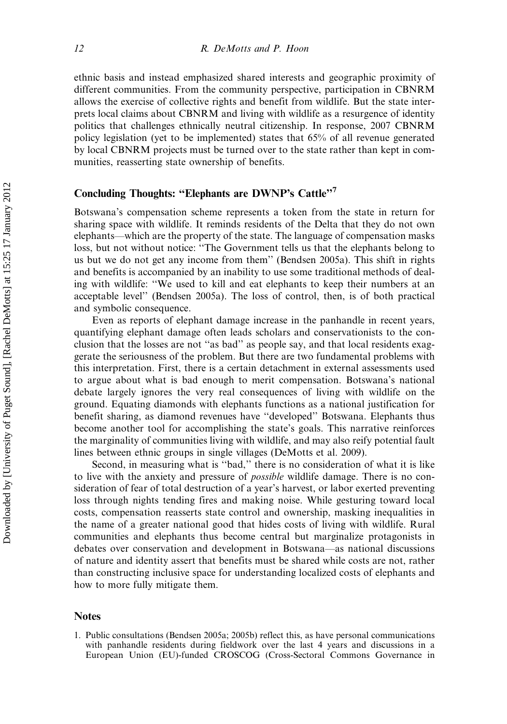ethnic basis and instead emphasized shared interests and geographic proximity of different communities. From the community perspective, participation in CBNRM allows the exercise of collective rights and benefit from wildlife. But the state interprets local claims about CBNRM and living with wildlife as a resurgence of identity politics that challenges ethnically neutral citizenship. In response, 2007 CBNRM policy legislation (yet to be implemented) states that 65% of all revenue generated by local CBNRM projects must be turned over to the state rather than kept in communities, reasserting state ownership of benefits.

# Concluding Thoughts: ''Elephants are DWNP's Cattle''<sup>7</sup>

Botswana's compensation scheme represents a token from the state in return for sharing space with wildlife. It reminds residents of the Delta that they do not own elephants—which are the property of the state. The language of compensation masks loss, but not without notice: ''The Government tells us that the elephants belong to us but we do not get any income from them'' (Bendsen 2005a). This shift in rights and benefits is accompanied by an inability to use some traditional methods of dealing with wildlife: ''We used to kill and eat elephants to keep their numbers at an acceptable level'' (Bendsen 2005a). The loss of control, then, is of both practical and symbolic consequence.

Even as reports of elephant damage increase in the panhandle in recent years, quantifying elephant damage often leads scholars and conservationists to the conclusion that the losses are not ''as bad'' as people say, and that local residents exaggerate the seriousness of the problem. But there are two fundamental problems with this interpretation. First, there is a certain detachment in external assessments used to argue about what is bad enough to merit compensation. Botswana's national debate largely ignores the very real consequences of living with wildlife on the ground. Equating diamonds with elephants functions as a national justification for benefit sharing, as diamond revenues have ''developed'' Botswana. Elephants thus become another tool for accomplishing the state's goals. This narrative reinforces the marginality of communities living with wildlife, and may also reify potential fault lines between ethnic groups in single villages (DeMotts et al. 2009).

Second, in measuring what is ''bad,'' there is no consideration of what it is like to live with the anxiety and pressure of possible wildlife damage. There is no consideration of fear of total destruction of a year's harvest, or labor exerted preventing loss through nights tending fires and making noise. While gesturing toward local costs, compensation reasserts state control and ownership, masking inequalities in the name of a greater national good that hides costs of living with wildlife. Rural communities and elephants thus become central but marginalize protagonists in debates over conservation and development in Botswana—as national discussions of nature and identity assert that benefits must be shared while costs are not, rather than constructing inclusive space for understanding localized costs of elephants and how to more fully mitigate them.

#### **Notes**

1. Public consultations (Bendsen 2005a; 2005b) reflect this, as have personal communications with panhandle residents during fieldwork over the last 4 years and discussions in a European Union (EU)-funded CROSCOG (Cross-Sectoral Commons Governance in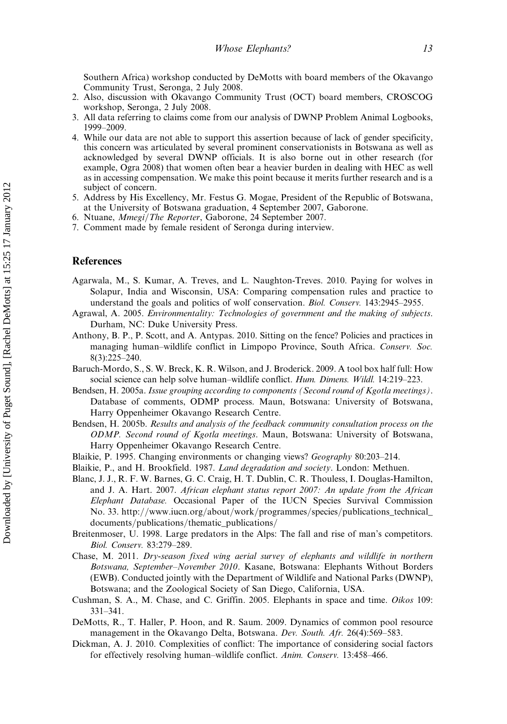Southern Africa) workshop conducted by DeMotts with board members of the Okavango Community Trust, Seronga, 2 July 2008.

- 2. Also, discussion with Okavango Community Trust (OCT) board members, CROSCOG workshop, Seronga, 2 July 2008.
- 3. All data referring to claims come from our analysis of DWNP Problem Animal Logbooks, 1999–2009.
- 4. While our data are not able to support this assertion because of lack of gender specificity, this concern was articulated by several prominent conservationists in Botswana as well as acknowledged by several DWNP officials. It is also borne out in other research (for example, Ogra 2008) that women often bear a heavier burden in dealing with HEC as well as in accessing compensation. We make this point because it merits further research and is a subject of concern.
- 5. Address by His Excellency, Mr. Festus G. Mogae, President of the Republic of Botswana, at the University of Botswana graduation, 4 September 2007, Gaborone.
- 6. Ntuane, Mmegi/The Reporter, Gaborone, 24 September 2007.
- 7. Comment made by female resident of Seronga during interview.

#### **References**

- Agarwala, M., S. Kumar, A. Treves, and L. Naughton-Treves. 2010. Paying for wolves in Solapur, India and Wisconsin, USA: Comparing compensation rules and practice to understand the goals and politics of wolf conservation. Biol. Conserv. 143:2945–2955.
- Agrawal, A. 2005. Environmentality: Technologies of government and the making of subjects. Durham, NC: Duke University Press.
- Anthony, B. P., P. Scott, and A. Antypas. 2010. Sitting on the fence? Policies and practices in managing human–wildlife conflict in Limpopo Province, South Africa. Conserv. Soc. 8(3):225–240.
- Baruch-Mordo, S., S. W. Breck, K. R. Wilson, and J. Broderick. 2009. A tool box half full: How social science can help solve human–wildlife conflict. Hum. Dimens. Wildl. 14:219–223.
- Bendsen, H. 2005a. Issue grouping according to components (Second round of Kgotla meetings). Database of comments, ODMP process. Maun, Botswana: University of Botswana, Harry Oppenheimer Okavango Research Centre.
- Bendsen, H. 2005b. Results and analysis of the feedback community consultation process on the ODMP. Second round of Kgotla meetings. Maun, Botswana: University of Botswana, Harry Oppenheimer Okavango Research Centre.
- Blaikie, P. 1995. Changing environments or changing views? Geography 80:203–214.
- Blaikie, P., and H. Brookfield. 1987. Land degradation and society. London: Methuen.
- Blanc, J. J., R. F. W. Barnes, G. C. Craig, H. T. Dublin, C. R. Thouless, I. Douglas-Hamilton, and J. A. Hart. 2007. African elephant status report 2007: An update from the African Elephant Database. Occasional Paper of the IUCN Species Survival Commission No. 33. http://www.iucn.org/about/work/programmes/species/publications\_technical\_ documents/publications/thematic\_publications/
- Breitenmoser, U. 1998. Large predators in the Alps: The fall and rise of man's competitors. Biol. Conserv. 83:279–289.
- Chase, M. 2011. Dry-season fixed wing aerial survey of elephants and wildlife in northern Botswana, September–November 2010. Kasane, Botswana: Elephants Without Borders (EWB). Conducted jointly with the Department of Wildlife and National Parks (DWNP), Botswana; and the Zoological Society of San Diego, California, USA.
- Cushman, S. A., M. Chase, and C. Griffin. 2005. Elephants in space and time. Oikos 109: 331–341.
- DeMotts, R., T. Haller, P. Hoon, and R. Saum. 2009. Dynamics of common pool resource management in the Okavango Delta, Botswana. Dev. South. Afr. 26(4):569–583.
- Dickman, A. J. 2010. Complexities of conflict: The importance of considering social factors for effectively resolving human–wildlife conflict. Anim. Conserv. 13:458–466.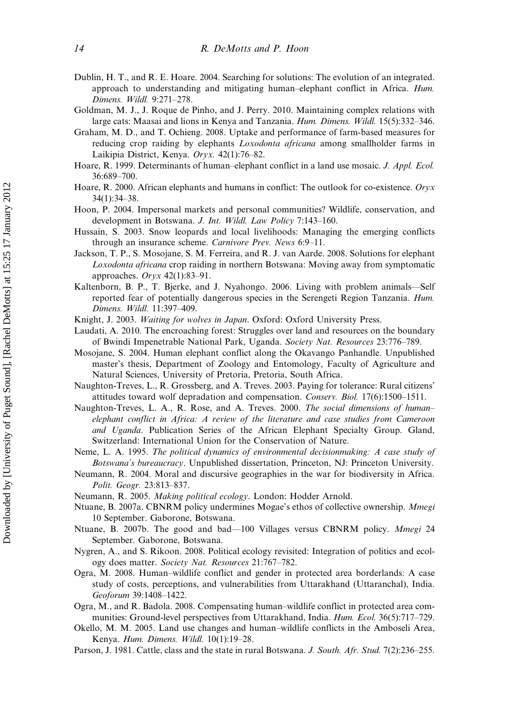- Dublin, H. T., and R. E. Hoare. 2004. Searching for solutions: The evolution of an integrated. approach to understanding and mitigating human–elephant conflict in Africa. Hum. Dimens. Wildl. 9:271–278.
- Goldman, M. J., J. Roque de Pinho, and J. Perry. 2010. Maintaining complex relations with large cats: Maasai and lions in Kenya and Tanzania. Hum. Dimens. Wildl. 15(5):332–346.
- Graham, M. D., and T. Ochieng. 2008. Uptake and performance of farm-based measures for reducing crop raiding by elephants *Loxodonta africana* among smallholder farms in Laikipia District, Kenya. Oryx. 42(1):76–82.
- Hoare, R. 1999. Determinants of human–elephant conflict in a land use mosaic. J. Appl. Ecol. 36:689–700.
- Hoare, R. 2000. African elephants and humans in conflict: The outlook for co-existence. Oryx 34(1):34–38.
- Hoon, P. 2004. Impersonal markets and personal communities? Wildlife, conservation, and development in Botswana. J. Int. Wildl. Law Policy 7:143–160.
- Hussain, S. 2003. Snow leopards and local livelihoods: Managing the emerging conflicts through an insurance scheme. Carnivore Prev. News 6:9–11.
- Jackson, T. P., S. Mosojane, S. M. Ferreira, and R. J. van Aarde. 2008. Solutions for elephant Loxodonta africana crop raiding in northern Botswana: Moving away from symptomatic approaches. Oryx 42(1):83–91.
- Kaltenborn, B. P., T. Bjerke, and J. Nyahongo. 2006. Living with problem animals—Self reported fear of potentially dangerous species in the Serengeti Region Tanzania. Hum. Dimens. Wildl. 11:397–409.

Knight, J. 2003. Waiting for wolves in Japan. Oxford: Oxford University Press.

- Laudati, A. 2010. The encroaching forest: Struggles over land and resources on the boundary of Bwindi Impenetrable National Park, Uganda. Society Nat. Resources 23:776–789.
- Mosojane, S. 2004. Human elephant conflict along the Okavango Panhandle. Unpublished master's thesis, Department of Zoology and Entomology, Faculty of Agriculture and Natural Sciences, University of Pretoria, Pretoria, South Africa.
- Naughton-Treves, L., R. Grossberg, and A. Treves. 2003. Paying for tolerance: Rural citizens' attitudes toward wolf depradation and compensation. Conserv. Biol. 17(6):1500–1511.
- Naughton-Treves, L. A., R. Rose, and A. Treves. 2000. The social dimensions of human– elephant conflict in Africa: A review of the literature and case studies from Cameroon and Uganda. Publication Series of the African Elephant Specialty Group. Gland, Switzerland: International Union for the Conservation of Nature.
- Neme, L. A. 1995. The political dynamics of environmental decisionmaking: A case study of Botswana's bureaucracy. Unpublished dissertation, Princeton, NJ: Princeton University.
- Neumann, R. 2004. Moral and discursive geographies in the war for biodiversity in Africa. Polit. Geogr. 23:813–837.
- Neumann, R. 2005. Making political ecology. London: Hodder Arnold.
- Ntuane, B. 2007a. CBNRM policy undermines Mogae's ethos of collective ownership. Mmegi 10 September. Gaborone, Botswana.
- Ntuane, B. 2007b. The good and bad—100 Villages versus CBNRM policy. Mmegi 24 September. Gaborone, Botswana.
- Nygren, A., and S. Rikoon. 2008. Political ecology revisited: Integration of politics and ecology does matter. Society Nat. Resources 21:767–782.
- Ogra, M. 2008. Human–wildlife conflict and gender in protected area borderlands: A case study of costs, perceptions, and vulnerabilities from Uttarakhand (Uttaranchal), India. Geoforum 39:1408–1422.
- Ogra, M., and R. Badola. 2008. Compensating human–wildlife conflict in protected area communities: Ground-level perspectives from Uttarakhand, India. Hum. Ecol. 36(5):717–729.
- Okello, M. M. 2005. Land use changes and human–wildlife conflicts in the Amboseli Area, Kenya. Hum. Dimens. Wildl. 10(1):19–28.
- Parson, J. 1981. Cattle, class and the state in rural Botswana. J. South. Afr. Stud. 7(2):236–255.